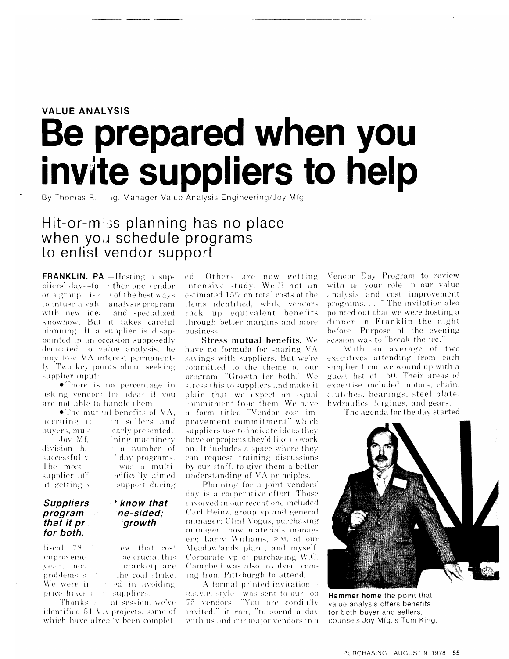# **VALUE ANALYSIS** Be prepared when you invite suppliers to help

By Thomas R. ng, Manager-Value Analysis Engineering/Joy Mfg

# Hit-or-miss planning has no place when you schedule programs to enlist vendor support

**FRANKLIN, PA** -Hosting a suppliers' day--for sither one vendor or a group—is  $\epsilon$  $\rightarrow$  of the best ways to infuse a value analysis program with new idea and specialized knowhow. But it takes careful planning. If a supplier is disappointed in an occasion supposedly dedicated to value analysis, he may lose VA interest permanently. Two key points about seeking supplier input:

• There is no percentage in asking vendors for ideas if you are not able to handle them.

• The mutual benefits of  $VA$ , accruing to th sellers and buvers, must early presented. Joy Mf: division ha successful v The most supplier aff at getting v

#### **Suppliers** program that it pr for both.

ning machinery a number of day programs. was a multieifically aimed support during

## *i* know that ne-sided: *growth*

fiscal 78. lew that cost be crucial this improveme vear, bec. marketplace problems s the coal strike. We were in ed in avoiding price hikes a suppliers.

Thanks to Lat session, we've identified 51 VA projects, some of which have already been completed. Others are now getting intensive study. We'll net an estimated 15% on total costs of the items identified, while vendors rack up equivalent benefits through better margins and more business.

**Stress mutual benefits.** We have no formula for sharing VA savings with suppliers. But we're committed to the theme of our program: "Growth for both." We stress this to suppliers and make it plain that we expect an equal commitment from them. We have a form titled "Vendor cost improvement commitment" which suppliers use to indicate ideas they have or projects they'd like to work on. It includes a space where they can request training discussions by our staff, to give them a better understanding of VA principles.

Planning for a joint vendors' day is a cooperative effort. Those involved in our recent one included Carl Heinz, group vp and general manager; Clint Vogus, purchasing manager (now materials manager); Larry Williams, P.M. at our Meadowlands plant; and myself. Corporate vp of purchasing W.C. Campbell was also involved, coming from Pittsburgh to attend.

A formal printed invitation— R.S.V.P. style --was sent to our top 75 vendors. "You are cordially invited," it ran, "to spend a day with us and our major vendors in a

Vendor Day Program to review with us vour role in our value analysis and cost improvement<br>programs...." The invitation also pointed out that we were hosting a dinner in Franklin the night before. Purpose of the evening session was to "break the ice."

With an average of two executives attending from each supplier firm, we wound up with a guest list of 150. Their areas of expertise included motors, chain, clutches, bearings, steel plate, hydraulies, forgings, and gears.

The agenda for the day started



Hammer home the point that value analysis offers benefits for both buyer and sellers, counsels Joy Mfg.'s Tom King